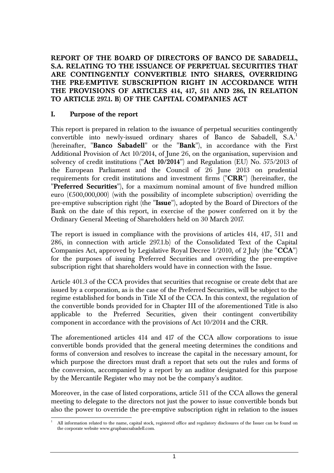**REPORT OF THE BOARD OF DIRECTORS OF BANCO DE SABADELL, S.A. RELATING TO THE ISSUANCE OF PERPETUAL SECURITIES THAT ARE CONTINGENTLY CONVERTIBLE INTO SHARES, OVERRIDING THE PRE-EMPTIVE SUBSCRIPTION RIGHT IN ACCORDANCE WITH THE PROVISIONS OF ARTICLES 414, 417, 511 AND 286, IN RELATION TO ARTICLE 297.1. B) OF THE CAPITAL COMPANIES ACT** 

#### **I. Purpose of the report**

1

This report is prepared in relation to the issuance of perpetual securities contingently convertible into newly-issued ordinary shares of Banco de Sabadell, S.A.<sup>1</sup> (hereinafter, "**Banco Sabadell**" or the "**Bank**"), in accordance with the First Additional Provision of Act 10/2014, of June 26, on the organisation, supervision and solvency of credit institutions ("**Act 10/2014**") and Regulation (EU) No. 575/2013 of the European Parliament and the Council of 26 June 2013 on prudential requirements for credit institutions and investment firms ("**CRR**") (hereinafter, the "**Preferred Securities**"), for a maximum nominal amount of five hundred million euro  $(\text{\textsterling}500,000,000)$  (with the possibility of incomplete subscription) overriding the pre-emptive subscription right (the "**Issue**"), adopted by the Board of Directors of the Bank on the date of this report, in exercise of the power conferred on it by the Ordinary General Meeting of Shareholders held on 30 March 2017.

The report is issued in compliance with the provisions of articles 414, 417, 511 and 286, in connection with article 297.1.b) of the Consolidated Text of the Capital Companies Act, approved by Legislative Royal Decree 1/2010, of 2 July (the "**CCA**") for the purposes of issuing Preferred Securities and overriding the pre-emptive subscription right that shareholders would have in connection with the Issue.

Article 401.3 of the CCA provides that securities that recognise or create debt that are issued by a corporation, as is the case of the Preferred Securities, will be subject to the regime established for bonds in Title XI of the CCA. In this context, the regulation of the convertible bonds provided for in Chapter III of the aforementioned Title is also applicable to the Preferred Securities, given their contingent convertibility component in accordance with the provisions of Act 10/2014 and the CRR.

The aforementioned articles 414 and 417 of the CCA allow corporations to issue convertible bonds provided that the general meeting determines the conditions and forms of conversion and resolves to increase the capital in the necessary amount, for which purpose the directors must draft a report that sets out the rules and forms of the conversion, accompanied by a report by an auditor designated for this purpose by the Mercantile Register who may not be the company's auditor.

Moreover, in the case of listed corporations, article 511 of the CCA allows the general meeting to delegate to the directors not just the power to issue convertible bonds but also the power to override the pre-emptive subscription right in relation to the issues

<sup>1</sup> All information related to the name, capital stock, registered office and regulatory disclosures of the Issuer can be found on the corporate website www.grupbancsabadell.com.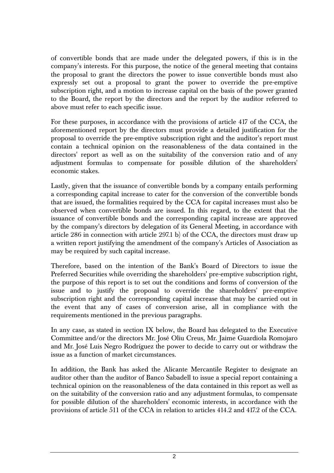of convertible bonds that are made under the delegated powers, if this is in the company's interests. For this purpose, the notice of the general meeting that contains the proposal to grant the directors the power to issue convertible bonds must also expressly set out a proposal to grant the power to override the pre-emptive subscription right, and a motion to increase capital on the basis of the power granted to the Board, the report by the directors and the report by the auditor referred to above must refer to each specific issue.

For these purposes, in accordance with the provisions of article 417 of the CCA, the aforementioned report by the directors must provide a detailed justification for the proposal to override the pre-emptive subscription right and the auditor's report must contain a technical opinion on the reasonableness of the data contained in the directors' report as well as on the suitability of the conversion ratio and of any adjustment formulas to compensate for possible dilution of the shareholders' economic stakes.

Lastly, given that the issuance of convertible bonds by a company entails performing a corresponding capital increase to cater for the conversion of the convertible bonds that are issued, the formalities required by the CCA for capital increases must also be observed when convertible bonds are issued. In this regard, to the extent that the issuance of convertible bonds and the corresponding capital increase are approved by the company's directors by delegation of its General Meeting, in accordance with article 286 in connection with article 297.1 b) of the CCA, the directors must draw up a written report justifying the amendment of the company's Articles of Association as may be required by such capital increase.

Therefore, based on the intention of the Bank's Board of Directors to issue the Preferred Securities while overriding the shareholders' pre-emptive subscription right, the purpose of this report is to set out the conditions and forms of conversion of the issue and to justify the proposal to override the shareholders' pre-emptive subscription right and the corresponding capital increase that may be carried out in the event that any of cases of conversion arise, all in compliance with the requirements mentioned in the previous paragraphs.

In any case, as stated in section IX below, the Board has delegated to the Executive Committee and/or the directors Mr. José Oliu Creus, Mr. Jaime Guardiola Romojaro and Mr. José Luis Negro Rodríguez the power to decide to carry out or withdraw the issue as a function of market circumstances.

In addition, the Bank has asked the Alicante Mercantile Register to designate an auditor other than the auditor of Banco Sabadell to issue a special report containing a technical opinion on the reasonableness of the data contained in this report as well as on the suitability of the conversion ratio and any adjustment formulas, to compensate for possible dilution of the shareholders' economic interests, in accordance with the provisions of article 511 of the CCA in relation to articles 414.2 and 417.2 of the CCA.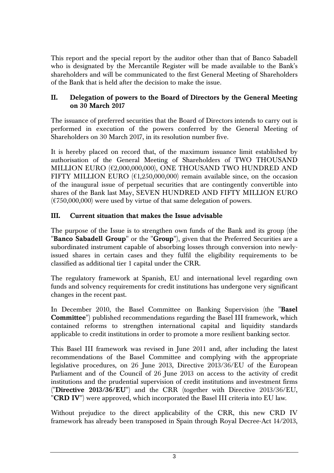This report and the special report by the auditor other than that of Banco Sabadell who is designated by the Mercantile Register will be made available to the Bank's shareholders and will be communicated to the first General Meeting of Shareholders of the Bank that is held after the decision to make the issue.

### **II. Delegation of powers to the Board of Directors by the General Meeting on 30 March 2017**

The issuance of preferred securities that the Board of Directors intends to carry out is performed in execution of the powers conferred by the General Meeting of Shareholders on 30 March 2017, in its resolution number five.

It is hereby placed on record that, of the maximum issuance limit established by authorisation of the General Meeting of Shareholders of TWO THOUSAND MILLION EURO (€2,000,000,000), ONE THOUSAND TWO HUNDRED AND FIFTY MILLION EURO ( $\epsilon$ 1,250,000,000) remain available since, on the occasion of the inaugural issue of perpetual securities that are contingently convertible into shares of the Bank last May, SEVEN HUNDRED AND FIFTY MILLION EURO  $(\text{\textsterling}750,000,000)$  were used by virtue of that same delegation of powers.

## **III. Current situation that makes the Issue advisable**

The purpose of the Issue is to strengthen own funds of the Bank and its group (the "**Banco Sabadell Group**" or the "**Group**"), given that the Preferred Securities are a subordinated instrument capable of absorbing losses through conversion into newlyissued shares in certain cases and they fulfil the eligibility requirements to be classified as additional tier 1 capital under the CRR.

The regulatory framework at Spanish, EU and international level regarding own funds and solvency requirements for credit institutions has undergone very significant changes in the recent past.

In December 2010, the Basel Committee on Banking Supervision (the "**Basel Committee**") published recommendations regarding the Basel III framework, which contained reforms to strengthen international capital and liquidity standards applicable to credit institutions in order to promote a more resilient banking sector.

This Basel III framework was revised in June 2011 and, after including the latest recommendations of the Basel Committee and complying with the appropriate legislative procedures, on 26 June 2013, Directive 2013/36/EU of the European Parliament and of the Council of 26 June 2013 on access to the activity of credit institutions and the prudential supervision of credit institutions and investment firms ("**Directive 2013/36/EU**") and the CRR (together with Directive 2013/36/EU, "**CRD IV**") were approved, which incorporated the Basel III criteria into EU law.

Without prejudice to the direct applicability of the CRR, this new CRD IV framework has already been transposed in Spain through Royal Decree-Act 14/2013,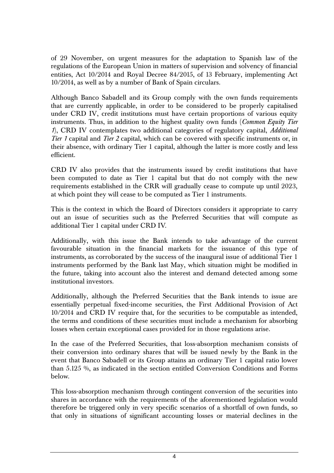of 29 November, on urgent measures for the adaptation to Spanish law of the regulations of the European Union in matters of supervision and solvency of financial entities, Act 10/2014 and Royal Decree 84/2015, of 13 February, implementing Act 10/2014, as well as by a number of Bank of Spain circulars.

Although Banco Sabadell and its Group comply with the own funds requirements that are currently applicable, in order to be considered to be properly capitalised under CRD IV, credit institutions must have certain proportions of various equity instruments. Thus, in addition to the highest quality own funds (*Common Equity Tier 1*), CRD IV contemplates two additional categories of regulatory capital, *Additional Tier 1* capital and *Tier 2* capital, which can be covered with specific instruments or, in their absence, with ordinary Tier 1 capital, although the latter is more costly and less efficient.

CRD IV also provides that the instruments issued by credit institutions that have been computed to date as Tier 1 capital but that do not comply with the new requirements established in the CRR will gradually cease to compute up until 2023, at which point they will cease to be computed as Tier 1 instruments.

This is the context in which the Board of Directors considers it appropriate to carry out an issue of securities such as the Preferred Securities that will compute as additional Tier 1 capital under CRD IV.

Additionally, with this issue the Bank intends to take advantage of the current favourable situation in the financial markets for the issuance of this type of instruments, as corroborated by the success of the inaugural issue of additional Tier 1 instruments performed by the Bank last May, which situation might be modified in the future, taking into account also the interest and demand detected among some institutional investors.

Additionally, although the Preferred Securities that the Bank intends to issue are essentially perpetual fixed-income securities, the First Additional Provision of Act 10/2014 and CRD IV require that, for the securities to be computable as intended, the terms and conditions of these securities must include a mechanism for absorbing losses when certain exceptional cases provided for in those regulations arise.

In the case of the Preferred Securities, that loss-absorption mechanism consists of their conversion into ordinary shares that will be issued newly by the Bank in the event that Banco Sabadell or its Group attains an ordinary Tier 1 capital ratio lower than 5.125 %, as indicated in the section entitled Conversion Conditions and Forms below.

This loss-absorption mechanism through contingent conversion of the securities into shares in accordance with the requirements of the aforementioned legislation would therefore be triggered only in very specific scenarios of a shortfall of own funds, so that only in situations of significant accounting losses or material declines in the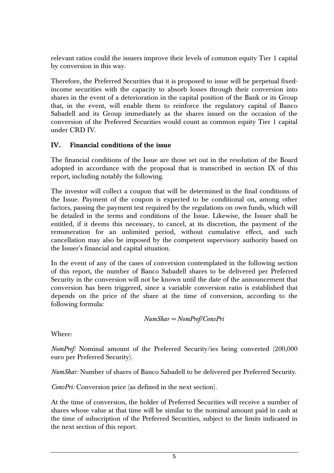relevant ratios could the issuers improve their levels of common equity Tier 1 capital by conversion in this way.

Therefore, the Preferred Securities that it is proposed to issue will be perpetual fixedincome securities with the capacity to absorb losses through their conversion into shares in the event of a deterioration in the capital position of the Bank or its Group that, in the event, will enable them to reinforce the regulatory capital of Banco Sabadell and its Group immediately as the shares issued on the occasion of the conversion of the Preferred Securities would count as common equity Tier 1 capital under CRD IV.

## **IV. Financial conditions of the issue**

The financial conditions of the Issue are those set out in the resolution of the Board adopted in accordance with the proposal that is transcribed in section IX of this report, including notably the following.

The investor will collect a coupon that will be determined in the final conditions of the Issue. Payment of the coupon is expected to be conditional on, among other factors, passing the payment test required by the regulations on own funds, which will be detailed in the terms and conditions of the Issue. Likewise, the Issuer shall be entitled, if it deems this necessary, to cancel, at its discretion, the payment of the remuneration for an unlimited period, without cumulative effect, and such cancellation may also be imposed by the competent supervisory authority based on the Issuer's financial and capital situation.

In the event of any of the cases of conversion contemplated in the following section of this report, the number of Banco Sabadell shares to be delivered per Preferred Security in the conversion will not be known until the date of the announcement that conversion has been triggered, since a variable conversion ratio is established that depends on the price of the share at the time of conversion, according to the following formula:

$$
NumShar = NomPref/ConvPri
$$

Where:

*NomPref:* Nominal amount of the Preferred Security/ies being converted (200,000 euro per Preferred Security).

*NumShar:* Number of shares of Banco Sabadell to be delivered per Preferred Security.

*ConvPri:* Conversion price (as defined in the next section).

At the time of conversion, the holder of Preferred Securities will receive a number of shares whose value at that time will be similar to the nominal amount paid in cash at the time of subscription of the Preferred Securities, subject to the limits indicated in the next section of this report.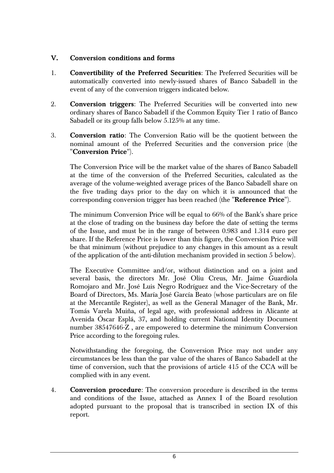## **V. Conversion conditions and forms**

- 1. **Convertibility of the Preferred Securities**: The Preferred Securities will be automatically converted into newly-issued shares of Banco Sabadell in the event of any of the conversion triggers indicated below.
- 2. **Conversion triggers**: The Preferred Securities will be converted into new ordinary shares of Banco Sabadell if the Common Equity Tier 1 ratio of Banco Sabadell or its group falls below 5.125% at any time.
- 3. **Conversion ratio**: The Conversion Ratio will be the quotient between the nominal amount of the Preferred Securities and the conversion price (the "**Conversion Price**").

The Conversion Price will be the market value of the shares of Banco Sabadell at the time of the conversion of the Preferred Securities, calculated as the average of the volume-weighted average prices of the Banco Sabadell share on the five trading days prior to the day on which it is announced that the corresponding conversion trigger has been reached (the "**Reference Price**").

The minimum Conversion Price will be equal to 66% of the Bank's share price at the close of trading on the business day before the date of setting the terms of the Issue, and must be in the range of between 0.983 and 1.314 euro per share. If the Reference Price is lower than this figure, the Conversion Price will be that minimum (without prejudice to any changes in this amount as a result of the application of the anti-dilution mechanism provided in section 5 below).

The Executive Committee and/or, without distinction and on a joint and several basis, the directors Mr. José Oliu Creus, Mr. Jaime Guardiola Romojaro and Mr. José Luis Negro Rodríguez and the Vice-Secretary of the Board of Directors, Ms. María José García Beato (whose particulars are on file at the Mercantile Register), as well as the General Manager of the Bank, Mr. Tomás Varela Muiña, of legal age, with professional address in Alicante at Avenida Óscar Esplá, 37, and holding current National Identity Document number 38547646-Z , are empowered to determine the minimum Conversion Price according to the foregoing rules.

Notwithstanding the foregoing, the Conversion Price may not under any circumstances be less than the par value of the shares of Banco Sabadell at the time of conversion, such that the provisions of article 415 of the CCA will be complied with in any event.

4. **Conversion procedure**: The conversion procedure is described in the terms and conditions of the Issue, attached as Annex I of the Board resolution adopted pursuant to the proposal that is transcribed in section IX of this report.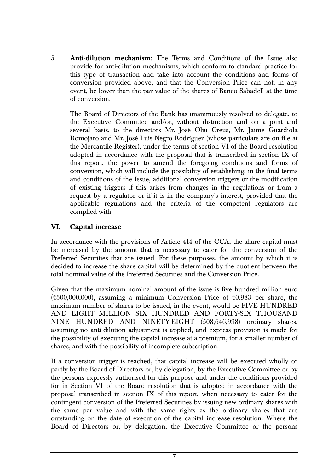5. **Anti-dilution mechanism**: The Terms and Conditions of the Issue also provide for anti-dilution mechanisms, which conform to standard practice for this type of transaction and take into account the conditions and forms of conversion provided above, and that the Conversion Price can not, in any event, be lower than the par value of the shares of Banco Sabadell at the time of conversion.

The Board of Directors of the Bank has unanimously resolved to delegate, to the Executive Committee and/or, without distinction and on a joint and several basis, to the directors Mr. José Oliu Creus, Mr. Jaime Guardiola Romojaro and Mr. José Luis Negro Rodríguez (whose particulars are on file at the Mercantile Register), under the terms of section VI of the Board resolution adopted in accordance with the proposal that is transcribed in section IX of this report, the power to amend the foregoing conditions and forms of conversion, which will include the possibility of establishing, in the final terms and conditions of the Issue, additional conversion triggers or the modification of existing triggers if this arises from changes in the regulations or from a request by a regulator or if it is in the company's interest, provided that the applicable regulations and the criteria of the competent regulators are complied with.

## **VI. Capital increase**

In accordance with the provisions of Article 414 of the CCA, the share capital must be increased by the amount that is necessary to cater for the conversion of the Preferred Securities that are issued. For these purposes, the amount by which it is decided to increase the share capital will be determined by the quotient between the total nominal value of the Preferred Securities and the Conversion Price.

Given that the maximum nominal amount of the issue is five hundred million euro  $(6500,000,000)$ , assuming a minimum Conversion Price of  $60.983$  per share, the maximum number of shares to be issued, in the event, would be FIVE HUNDRED AND EIGHT MILLION SIX HUNDRED AND FORTY-SIX THOUSAND NINE HUNDRED AND NINETY-EIGHT (508,646,998) ordinary shares, assuming no anti-dilution adjustment is applied, and express provision is made for the possibility of executing the capital increase at a premium, for a smaller number of shares, and with the possibility of incomplete subscription.

If a conversion trigger is reached, that capital increase will be executed wholly or partly by the Board of Directors or, by delegation, by the Executive Committee or by the persons expressly authorised for this purpose and under the conditions provided for in Section VI of the Board resolution that is adopted in accordance with the proposal transcribed in section IX of this report, when necessary to cater for the contingent conversion of the Preferred Securities by issuing new ordinary shares with the same par value and with the same rights as the ordinary shares that are outstanding on the date of execution of the capital increase resolution. Where the Board of Directors or, by delegation, the Executive Committee or the persons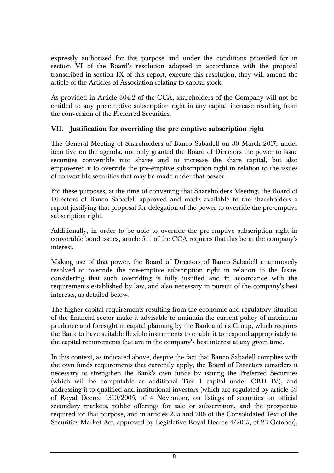expressly authorised for this purpose and under the conditions provided for in section VI of the Board's resolution adopted in accordance with the proposal transcribed in section IX of this report, execute this resolution, they will amend the article of the Articles of Association relating to capital stock.

As provided in Article 304.2 of the CCA, shareholders of the Company will not be entitled to any pre-emptive subscription right in any capital increase resulting from the conversion of the Preferred Securities.

## **VII. Justification for overriding the pre-emptive subscription right**

The General Meeting of Shareholders of Banco Sabadell on 30 March 2017, under item five on the agenda, not only granted the Board of Directors the power to issue securities convertible into shares and to increase the share capital, but also empowered it to override the pre-emptive subscription right in relation to the issues of convertible securities that may be made under that power.

For these purposes, at the time of convening that Shareholders Meeting, the Board of Directors of Banco Sabadell approved and made available to the shareholders a report justifying that proposal for delegation of the power to override the pre-emptive subscription right.

Additionally, in order to be able to override the pre-emptive subscription right in convertible bond issues, article 511 of the CCA requires that this be in the company's interest.

Making use of that power, the Board of Directors of Banco Sabadell unanimously resolved to override the pre-emptive subscription right in relation to the Issue, considering that such overriding is fully justified and in accordance with the requirements established by law, and also necessary in pursuit of the company's best interests, as detailed below.

The higher capital requirements resulting from the economic and regulatory situation of the financial sector make it advisable to maintain the current policy of maximum prudence and foresight in capital planning by the Bank and its Group, which requires the Bank to have suitable flexible instruments to enable it to respond appropriately to the capital requirements that are in the company's best interest at any given time.

In this context, as indicated above, despite the fact that Banco Sabadell complies with the own funds requirements that currently apply, the Board of Directors considers it necessary to strengthen the Bank's own funds by issuing the Preferred Securities (which will be computable as additional Tier 1 capital under CRD IV), and addressing it to qualified and institutional investors (which are regulated by article 39 of Royal Decree 1310/2005, of 4 November, on listings of securities on official secondary markets, public offerings for sale or subscription, and the prospectus required for that purpose, and in articles 205 and 206 of the Consolidated Text of the Securities Market Act, approved by Legislative Royal Decree 4/2015, of 23 October),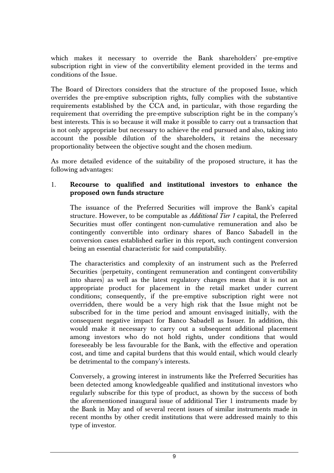which makes it necessary to override the Bank shareholders' pre-emptive subscription right in view of the convertibility element provided in the terms and conditions of the Issue.

The Board of Directors considers that the structure of the proposed Issue, which overrides the pre-emptive subscription rights, fully complies with the substantive requirements established by the CCA and, in particular, with those regarding the requirement that overriding the pre-emptive subscription right be in the company's best interests. This is so because it will make it possible to carry out a transaction that is not only appropriate but necessary to achieve the end pursued and also, taking into account the possible dilution of the shareholders, it retains the necessary proportionality between the objective sought and the chosen medium.

As more detailed evidence of the suitability of the proposed structure, it has the following advantages:

## 1. **Recourse to qualified and institutional investors to enhance the proposed own funds structure**

The issuance of the Preferred Securities will improve the Bank's capital structure. However, to be computable as *Additional Tier 1* capital, the Preferred Securities must offer contingent non-cumulative remuneration and also be contingently convertible into ordinary shares of Banco Sabadell in the conversion cases established earlier in this report, such contingent conversion being an essential characteristic for said computability.

The characteristics and complexity of an instrument such as the Preferred Securities (perpetuity, contingent remuneration and contingent convertibility into shares) as well as the latest regulatory changes mean that it is not an appropriate product for placement in the retail market under current conditions; consequently, if the pre-emptive subscription right were not overridden, there would be a very high risk that the Issue might not be subscribed for in the time period and amount envisaged initially, with the consequent negative impact for Banco Sabadell as Issuer. In addition, this would make it necessary to carry out a subsequent additional placement among investors who do not hold rights, under conditions that would foreseeably be less favourable for the Bank, with the effective and operation cost, and time and capital burdens that this would entail, which would clearly be detrimental to the company's interests.

Conversely, a growing interest in instruments like the Preferred Securities has been detected among knowledgeable qualified and institutional investors who regularly subscribe for this type of product, as shown by the success of both the aforementioned inaugural issue of additional Tier 1 instruments made by the Bank in May and of several recent issues of similar instruments made in recent months by other credit institutions that were addressed mainly to this type of investor.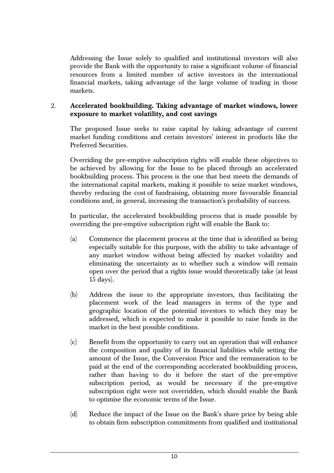Addressing the Issue solely to qualified and institutional investors will also provide the Bank with the opportunity to raise a significant volume of financial resources from a limited number of active investors in the international financial markets, taking advantage of the large volume of trading in those markets.

## 2. **Accelerated bookbuilding. Taking advantage of market windows, lower exposure to market volatility, and cost savings**

The proposed Issue seeks to raise capital by taking advantage of current market funding conditions and certain investors' interest in products like the Preferred Securities.

Overriding the pre-emptive subscription rights will enable these objectives to be achieved by allowing for the Issue to be placed through an accelerated bookbuilding process. This process is the one that best meets the demands of the international capital markets, making it possible to seize market windows, thereby reducing the cost of fundraising, obtaining more favourable financial conditions and, in general, increasing the transaction's probability of success.

In particular, the accelerated bookbuilding process that is made possible by overriding the pre-emptive subscription right will enable the Bank to:

- (a) Commence the placement process at the time that is identified as being especially suitable for this purpose, with the ability to take advantage of any market window without being affected by market volatility and eliminating the uncertainty as to whether such a window will remain open over the period that a rights issue would theoretically take (at least 15 days).
- (b) Address the issue to the appropriate investors, thus facilitating the placement work of the lead managers in terms of the type and geographic location of the potential investors to which they may be addressed, which is expected to make it possible to raise funds in the market in the best possible conditions.
- (c) Benefit from the opportunity to carry out an operation that will enhance the composition and quality of its financial liabilities while setting the amount of the Issue, the Conversion Price and the remuneration to be paid at the end of the corresponding accelerated bookbuilding process, rather than having to do it before the start of the pre-emptive subscription period, as would be necessary if the pre-emptive subscription right were not overridden, which should enable the Bank to optimise the economic terms of the Issue.
- (d) Reduce the impact of the Issue on the Bank's share price by being able to obtain firm subscription commitments from qualified and institutional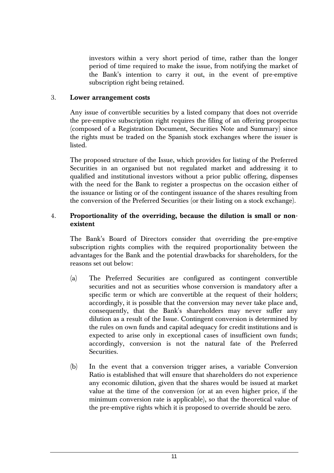investors within a very short period of time, rather than the longer period of time required to make the issue, from notifying the market of the Bank's intention to carry it out, in the event of pre-emptive subscription right being retained.

#### 3. **Lower arrangement costs**

Any issue of convertible securities by a listed company that does not override the pre-emptive subscription right requires the filing of an offering prospectus (composed of a Registration Document, Securities Note and Summary) since the rights must be traded on the Spanish stock exchanges where the issuer is listed.

The proposed structure of the Issue, which provides for listing of the Preferred Securities in an organised but not regulated market and addressing it to qualified and institutional investors without a prior public offering, dispenses with the need for the Bank to register a prospectus on the occasion either of the issuance or listing or of the contingent issuance of the shares resulting from the conversion of the Preferred Securities (or their listing on a stock exchange).

#### 4. **Proportionality of the overriding, because the dilution is small or nonexistent**

The Bank's Board of Directors consider that overriding the pre-emptive subscription rights complies with the required proportionality between the advantages for the Bank and the potential drawbacks for shareholders, for the reasons set out below:

- (a) The Preferred Securities are configured as contingent convertible securities and not as securities whose conversion is mandatory after a specific term or which are convertible at the request of their holders; accordingly, it is possible that the conversion may never take place and, consequently, that the Bank's shareholders may never suffer any dilution as a result of the Issue. Contingent conversion is determined by the rules on own funds and capital adequacy for credit institutions and is expected to arise only in exceptional cases of insufficient own funds; accordingly, conversion is not the natural fate of the Preferred Securities.
- (b) In the event that a conversion trigger arises, a variable Conversion Ratio is established that will ensure that shareholders do not experience any economic dilution, given that the shares would be issued at market value at the time of the conversion (or at an even higher price, if the minimum conversion rate is applicable), so that the theoretical value of the pre-emptive rights which it is proposed to override should be zero.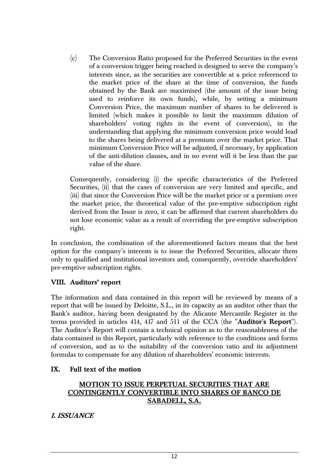(c) The Conversion Ratio proposed for the Preferred Securities in the event of a conversion trigger being reached is designed to serve the company's interests since, as the securities are convertible at a price referenced to the market price of the share at the time of conversion, the funds obtained by the Bank are maximised (the amount of the issue being used to reinforce its own funds), while, by setting a minimum Conversion Price, the maximum number of shares to be delivered is limited (which makes it possible to limit the maximum dilution of shareholders' voting rights in the event of conversion), in the understanding that applying the minimum conversion price would lead to the shares being delivered at a premium over the market price. That minimum Conversion Price will be adjusted, if necessary, by application of the anti-dilution clauses, and in no event will it be less than the par value of the share.

Consequently, considering (i) the specific characteristics of the Preferred Securities, (ii) that the cases of conversion are very limited and specific, and (iii) that since the Conversion Price will be the market price or a premium over the market price, the theoretical value of the pre-emptive subscription right derived from the Issue is zero, it can be affirmed that current shareholders do not lose economic value as a result of overriding the pre-emptive subscription right.

In conclusion, the combination of the aforementioned factors means that the best option for the company's interests is to issue the Preferred Securities, allocate them only to qualified and institutional investors and, consequently, override shareholders' pre-emptive subscription rights.

### **VIII. Auditors' report**

The information and data contained in this report will be reviewed by means of a report that will be issued by Deloitte, S.L., in its capacity as an auditor other than the Bank's auditor, having been designated by the Alicante Mercantile Register in the terms provided in articles 414, 417 and 511 of the CCA (the "**Auditor's Report**"). The Auditor's Report will contain a technical opinion as to the reasonableness of the data contained in this Report, particularly with reference to the conditions and forms of conversion, and as to the suitability of the conversion ratio and its adjustment formulas to compensate for any dilution of shareholders' economic interests.

### **IX. Full text of the motion**

## **MOTION TO ISSUE PERPETUAL SECURITIES THAT ARE CONTINGENTLY CONVERTIBLE INTO SHARES OF BANCO DE SABADELL, S.A.**

**I. ISSUANCE**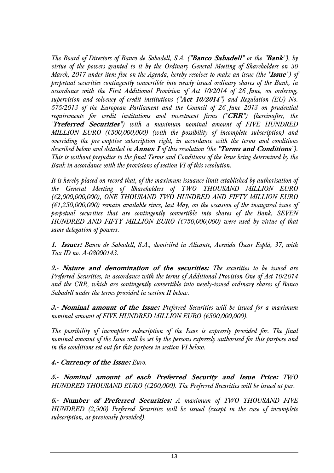*The Board of Directors of Banco de Sabadell, S.A. ("***Banco Sabadell***" or the "***Bank***"), by virtue of the powers granted to it by the Ordinary General Meeting of Shareholders on 30 March, 2017 under item five on the Agenda, hereby resolves to make an issue (the "***Issue***") of perpetual securities contingently convertible into newly-issued ordinary shares of the Bank, in accordance with the First Additional Provision of Act 10/2014 of 26 June, on ordering, supervision and solvency of credit institutions ("***Act 10/2014***") and Regulation (EU) No. 575/2013 of the European Parliament and the Council of 26 June 2013 on prudential requirements for credit institutions and investment firms ("***CRR***") (hereinafter, the "***Preferred Securities***") with a maximum nominal amount of FIVE HUNDRED MILLION EURO (€500,000,000) (with the possibility of incomplete subscription) and overriding the pre-emptive subscription right, in accordance with the terms and conditions described below and detailed in* **Annex I** *of this resolution (the "***Terms and Conditions***"). This is without prejudice to the final Terms and Conditions of the Issue being determined by the Bank in accordance with the provisions of section VI of this resolution.* 

*It is hereby placed on record that, of the maximum issuance limit established by authorisation of the General Meeting of Shareholders of TWO THOUSAND MILLION EURO (€2,000,000,000), ONE THOUSAND TWO HUNDRED AND FIFTY MILLION EURO (€1,250,000,000) remain available since, last May, on the occasion of the inaugural issue of perpetual securities that are contingently convertible into shares of the Bank, SEVEN HUNDRED AND FIFTY MILLION EURO (€750,000,000) were used by virtue of that same delegation of powers.* 

**1.- Issuer:** *Banco de Sabadell, S.A., domiciled in Alicante, Avenida Óscar Esplá, 37, with Tax ID no. A-08000143.* 

**2.- Nature and denomination of the securities:** *The securities to be issued are Preferred Securities, in accordance with the terms of Additional Provision One of Act 10/2014 and the CRR, which are contingently convertible into newly-issued ordinary shares of Banco Sabadell under the terms provided in section II below.* 

**3.- Nominal amount of the Issue:** *Preferred Securities will be issued for a maximum nominal amount of FIVE HUNDRED MILLION EURO (€500,000,000).* 

*The possibility of incomplete subscription of the Issue is expressly provided for. The final nominal amount of the Issue will be set by the persons expressly authorised for this purpose and in the conditions set out for this purpose in section VI below.* 

**4.- Currency of the Issue:** *Euro.* 

**5.- Nominal amount of each Preferred Security and Issue Price:** *TWO HUNDRED THOUSAND EURO (€200,000). The Preferred Securities will be issued at par.* 

**6.- Number of Preferred Securities:** *A maximum of TWO THOUSAND FIVE HUNDRED (2,500) Preferred Securities will be issued (except in the case of incomplete subscription, as previously provided).*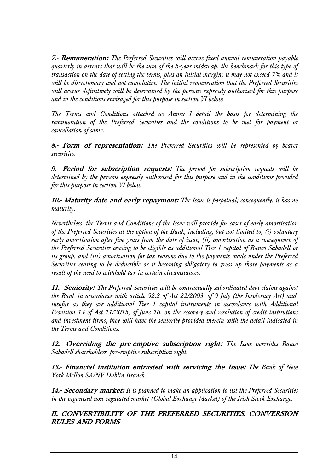**7.- Remuneration:** *The Preferred Securities will accrue fixed annual remuneration payable quarterly in arrears that will be the sum of the 5-year midswap, the benchmark for this type of transaction on the date of setting the terms, plus an initial margin; it may not exceed 7% and it will be discretionary and not cumulative. The initial remuneration that the Preferred Securities will accrue definitively will be determined by the persons expressly authorised for this purpose and in the conditions envisaged for this purpose in section VI below.* 

*The Terms and Conditions attached as Annex I detail the basis for determining the remuneration of the Preferred Securities and the conditions to be met for payment or cancellation of same.* 

**8.- Form of representation:** *The Preferred Securities will be represented by bearer securities.* 

**9.- Period for subscription requests:** *The period for subscription requests will be determined by the persons expressly authorised for this purpose and in the conditions provided for this purpose in section VI below.* 

**10.- Maturity date and early repayment:** *The Issue is perpetual; consequently, it has no maturity.* 

*Nevertheless, the Terms and Conditions of the Issue will provide for cases of early amortisation of the Preferred Securities at the option of the Bank, including, but not limited to, (i) voluntary early amortisation after five years from the date of issue, (ii) amortisation as a consequence of the Preferred Securities ceasing to be eligible as additional Tier 1 capital of Banco Sabadell or its group, and (iii) amortisation for tax reasons due to the payments made under the Preferred Securities ceasing to be deductible or it becoming obligatory to gross up those payments as a result of the need to withhold tax in certain circumstances.* 

**11.- Seniority:** *The Preferred Securities will be contractually subordinated debt claims against the Bank in accordance with article 92.2 of Act 22/2003, of 9 July (the Insolvency Act) and, insofar as they are additional Tier 1 capital instruments in accordance with Additional Provision 14 of Act 11/2015, of June 18, on the recovery and resolution of credit institutions and investment firms, they will have the seniority provided therein with the detail indicated in the Terms and Conditions.* 

**12.- Overriding the pre-emptive subscription right:** *The Issue overrides Banco Sabadell shareholders' pre-emptive subscription right.* 

**13.- Financial institution entrusted with servicing the Issue:** *The Bank of New York Mellon SA/NV Dublin Branch.* 

**14.- Secondary market:** *It is planned to make an application to list the Preferred Securities in the organised non-regulated market (Global Exchange Market) of the Irish Stock Exchange.* 

**II. CONVERTIBILITY OF THE PREFERRED SECURITIES. CONVERSION RULES AND FORMS**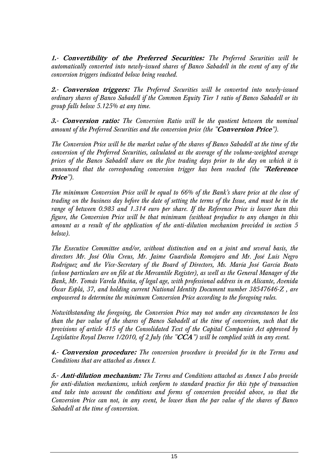**1.- Convertibility of the Preferred Securities:** *The Preferred Securities will be automatically converted into newly-issued shares of Banco Sabadell in the event of any of the conversion triggers indicated below being reached.* 

**2.- Conversion triggers:** *The Preferred Securities will be converted into newly-issued ordinary shares of Banco Sabadell if the Common Equity Tier 1 ratio of Banco Sabadell or its group falls below 5.125% at any time.* 

**3.- Conversion ratio:** *The Conversion Ratio will be the quotient between the nominal amount of the Preferred Securities and the conversion price (the "***Conversion Price***").* 

*The Conversion Price will be the market value of the shares of Banco Sabadell at the time of the conversion of the Preferred Securities, calculated as the average of the volume-weighted average prices of the Banco Sabadell share on the five trading days prior to the day on which it is announced that the corresponding conversion trigger has been reached (the "***Reference Price***").* 

*The minimum Conversion Price will be equal to 66% of the Bank's share price at the close of trading on the business day before the date of setting the terms of the Issue, and must be in the range of between 0.983 and 1.314 euro per share. If the Reference Price is lower than this figure, the Conversion Price will be that minimum (without prejudice to any changes in this amount as a result of the application of the anti-dilution mechanism provided in section 5 below).* 

*The Executive Committee and/or, without distinction and on a joint and several basis, the directors Mr. José Oliu Creus, Mr. Jaime Guardiola Romojaro and Mr. José Luis Negro Rodríguez and the Vice-Secretary of the Board of Directors, Ms. María José García Beato (whose particulars are on file at the Mercantile Register), as well as the General Manager of the Bank, Mr. Tomás Varela Muiña, of legal age, with professional address in en Alicante, Avenida Óscar Esplá, 37, and holding current National Identity Document number 38547646-Z , are empowered to determine the minimum Conversion Price according to the foregoing rules.* 

*Notwithstanding the foregoing, the Conversion Price may not under any circumstances be less than the par value of the shares of Banco Sabadell at the time of conversion, such that the provisions of article 415 of the Consolidated Text of the Capital Companies Act approved by Legislative Royal Decree 1/2010, of 2 July (the "***CCA***") will be complied with in any event.* 

**4.- Conversion procedure:** *The conversion procedure is provided for in the Terms and Conditions that are attached as Annex I.* 

**5.- Anti-dilution mechanism:** *The Terms and Conditions attached as Annex I also provide for anti-dilution mechanisms, which conform to standard practice for this type of transaction and take into account the conditions and forms of conversion provided above, so that the Conversion Price can not, in any event, be lower than the par value of the shares of Banco Sabadell at the time of conversion.*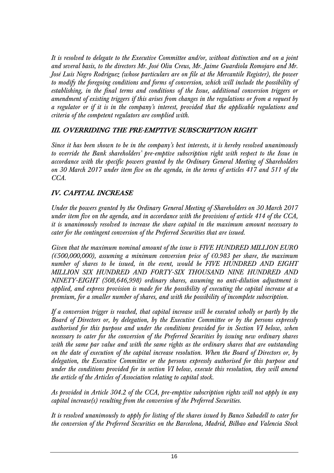*It is resolved to delegate to the Executive Committee and/or, without distinction and on a joint and several basis, to the directors Mr. José Oliu Creus, Mr. Jaime Guardiola Romojaro and Mr. José Luis Negro Rodríguez (whose particulars are on file at the Mercantile Register), the power to modify the foregoing conditions and forms of conversion, which will include the possibility of establishing, in the final terms and conditions of the Issue, additional conversion triggers or amendment of existing triggers if this arises from changes in the regulations or from a request by a regulator or if it is in the company's interest, provided that the applicable regulations and criteria of the competent regulators are complied with.* 

# **III. OVERRIDING THE PRE-EMPTIVE SUBSCRIPTION RIGHT**

*Since it has been shown to be in the company's best interests, it is hereby resolved unanimously to override the Bank shareholders' pre-emptive subscription right with respect to the Issue in accordance with the specific powers granted by the Ordinary General Meeting of Shareholders on 30 March 2017 under item five on the agenda, in the terms of articles 417 and 511 of the CCA.* 

# **IV. CAPITAL INCREASE**

*Under the powers granted by the Ordinary General Meeting of Shareholders on 30 March 2017 under item five on the agenda, and in accordance with the provisions of article 414 of the CCA, it is unanimously resolved to increase the share capital in the maximum amount necessary to cater for the contingent conversion of the Preferred Securities that are issued.* 

*Given that the maximum nominal amount of the issue is FIVE HUNDRED MILLION EURO (€500,000,000), assuming a minimum conversion price of €0.983 per share, the maximum number of shares to be issued, in the event, would be FIVE HUNDRED AND EIGHT MILLION SIX HUNDRED AND FORTY-SIX THOUSAND NINE HUNDRED AND NINETY-EIGHT (508,646,998) ordinary shares, assuming no anti-dilution adjustment is applied, and express provision is made for the possibility of executing the capital increase at a premium, for a smaller number of shares, and with the possibility of incomplete subscription.* 

*If a conversion trigger is reached, that capital increase will be executed wholly or partly by the Board of Directors or, by delegation, by the Executive Committee or by the persons expressly authorised for this purpose and under the conditions provided for in Section VI below, when necessary to cater for the conversion of the Preferred Securities by issuing new ordinary shares with the same par value and with the same rights as the ordinary shares that are outstanding on the date of execution of the capital increase resolution. When the Board of Directors or, by delegation, the Executive Committee or the persons expressly authorised for this purpose and under the conditions provided for in section VI below, execute this resolution, they will amend the article of the Articles of Association relating to capital stock.* 

*As provided in Article 304.2 of the CCA, pre-emptive subscription rights will not apply in any capital increase(s) resulting from the conversion of the Preferred Securities.* 

*It is resolved unanimously to apply for listing of the shares issued by Banco Sabadell to cater for the conversion of the Preferred Securities on the Barcelona, Madrid, Bilbao and Valencia Stock*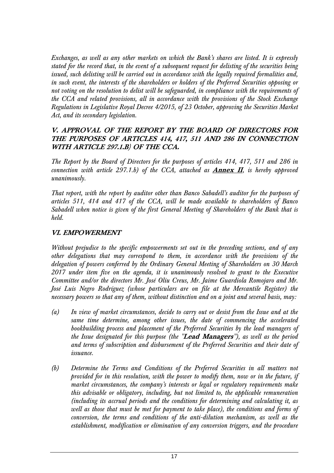*Exchanges, as well as any other markets on which the Bank's shares are listed. It is expressly stated for the record that, in the event of a subsequent request for delisting of the securities being issued, such delisting will be carried out in accordance with the legally required formalities and, in such event, the interests of the shareholders or holders of the Preferred Securities opposing or not voting on the resolution to delist will be safeguarded, in compliance with the requirements of the CCA and related provisions, all in accordance with the provisions of the Stock Exchange Regulations in Legislative Royal Decree 4/2015, of 23 October, approving the Securities Market Act, and its secondary legislation.* 

## **V. APPROVAL OF THE REPORT BY THE BOARD OF DIRECTORS FOR THE PURPOSES OF ARTICLES 414, 417, 511 AND 286 IN CONNECTION WITH ARTICLE 297.1.B) OF THE CCA.**

*The Report by the Board of Directors for the purposes of articles 414, 417, 511 and 286 in connection with article 297.1.b) of the CCA, attached as Annex II, is hereby approved unanimously.* 

*That report, with the report by auditor other than Banco Sabadell's auditor for the purposes of articles 511, 414 and 417 of the CCA, will be made available to shareholders of Banco Sabadell when notice is given of the first General Meeting of Shareholders of the Bank that is held.* 

# **VI. EMPOWERMENT**

*Without prejudice to the specific empowerments set out in the preceding sections, and of any other delegations that may correspond to them, in accordance with the provisions of the delegation of powers conferred by the Ordinary General Meeting of Shareholders on 30 March 2017 under item five on the agenda, it is unanimously resolved to grant to the Executive Committee and/or the directors Mr. José Oliu Creus, Mr. Jaime Guardiola Romojaro and Mr. José Luis Negro Rodríguez (whose particulars are on file at the Mercantile Register) the necessary powers so that any of them, without distinction and on a joint and several basis, may:* 

- *(a) In view of market circumstances, decide to carry out or desist from the Issue and at the same time determine, among other issues, the date of commencing the accelerated bookbuilding process and placement of the Preferred Securities by the lead managers of the Issue designated for this purpose (the "***Lead Managers***"), as well as the period and terms of subscription and disbursement of the Preferred Securities and their date of issuance.*
- *(b) Determine the Terms and Conditions of the Preferred Securities in all matters not provided for in this resolution, with the power to modify them, now or in the future, if market circumstances, the company's interests or legal or regulatory requirements make this advisable or obligatory, including, but not limited to, the applicable remuneration (including its accrual periods and the conditions for determining and calculating it, as well as those that must be met for payment to take place), the conditions and forms of conversion, the terms and conditions of the anti-dilution mechanism, as well as the establishment, modification or elimination of any conversion triggers, and the procedure*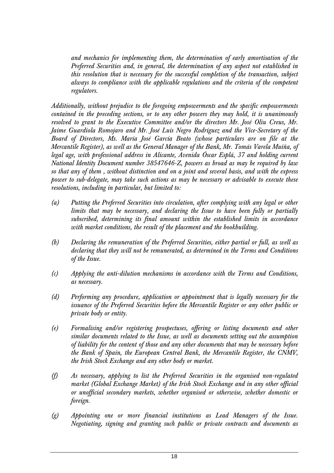*and mechanics for implementing them, the determination of early amortisation of the Preferred Securities and, in general, the determination of any aspect not established in this resolution that is necessary for the successful completion of the transaction, subject always to compliance with the applicable regulations and the criteria of the competent regulators.* 

*Additionally, without prejudice to the foregoing empowerments and the specific empowerments contained in the preceding sections, or to any other powers they may hold, it is unanimously resolved to grant to the Executive Committee and/or the directors Mr. José Oliu Creus, Mr. Jaime Guardiola Romojaro and Mr. José Luis Negro Rodríguez and the Vice-Secretary of the Board of Directors, Ms. María José García Beato (whose particulars are on file at the Mercantile Register), as well as the General Manager of the Bank, Mr. Tomás Varela Muiña, of legal age, with professional address in Alicante, Avenida Óscar Esplá, 37 and holding current National Identity Document number 38547646-Z, powers as broad as may be required by law so that any of them , without distinction and on a joint and several basis, and with the express power to sub-delegate, may take such actions as may be necessary or advisable to execute these resolutions, including in particular, but limited to:* 

- *(a) Putting the Preferred Securities into circulation, after complying with any legal or other limits that may be necessary, and declaring the Issue to have been fully or partially subscribed, determining its final amount within the established limits in accordance with market conditions, the result of the placement and the bookbuilding.*
- *(b) Declaring the remuneration of the Preferred Securities, either partial or full, as well as declaring that they will not be remunerated, as determined in the Terms and Conditions of the Issue.*
- *(c) Applying the anti-dilution mechanisms in accordance with the Terms and Conditions, as necessary.*
- *(d) Performing any procedure, application or appointment that is legally necessary for the issuance of the Preferred Securities before the Mercantile Register or any other public or private body or entity.*
- *(e) Formalising and/or registering prospectuses, offering or listing documents and other similar documents related to the Issue, as well as documents setting out the assumption of liability for the content of those and any other documents that may be necessary before the Bank of Spain, the European Central Bank, the Mercantile Register, the CNMV, the Irish Stock Exchange and any other body or market.*
- *(f) As necessary, applying to list the Preferred Securities in the organised non-regulated market (Global Exchange Market) of the Irish Stock Exchange and in any other official or unofficial secondary markets, whether organised or otherwise, whether domestic or foreign.*
- *(g) Appointing one or more financial institutions as Lead Managers of the Issue. Negotiating, signing and granting such public or private contracts and documents as*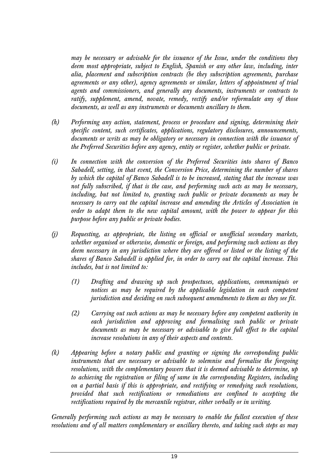*may be necessary or advisable for the issuance of the Issue, under the conditions they deem most appropriate, subject to English, Spanish or any other law, including, inter alia, placement and subscription contracts (be they subscription agreements, purchase agreements or any other), agency agreements or similar, letters of appointment of trial agents and commissioners, and generally any documents, instruments or contracts to ratify, supplement, amend, novate, remedy, rectify and/or reformulate any of those documents, as well as any instruments or documents ancillary to them.* 

- *(h) Performing any action, statement, process or procedure and signing, determining their specific content, such certificates, applications, regulatory disclosures, announcements, documents or writs as may be obligatory or necessary in connection with the issuance of the Preferred Securities before any agency, entity or register, whether public or private.*
- *(i) In connection with the conversion of the Preferred Securities into shares of Banco Sabadell, setting, in that event, the Conversion Price, determining the number of shares by which the capital of Banco Sabadell is to be increased, stating that the increase was not fully subscribed, if that is the case, and performing such acts as may be necessary, including, but not limited to, granting such public or private documents as may be necessary to carry out the capital increase and amending the Articles of Association in order to adapt them to the new capital amount, with the power to appear for this purpose before any public or private bodies.*
- *(j) Requesting, as appropriate, the listing on official or unofficial secondary markets, whether organised or otherwise, domestic or foreign, and performing such actions as they deem necessary in any jurisdiction where they are offered or listed or the listing of the shares of Banco Sabadell is applied for, in order to carry out the capital increase. This includes, but is not limited to:* 
	- *(1) Drafting and drawing up such prospectuses, applications, communiqués or*  notices as may be required by the applicable legislation in each competent *jurisdiction and deciding on such subsequent amendments to them as they see fit.*
	- *(2) Carrying out such actions as may be necessary before any competent authority in each jurisdiction and approving and formalising such public or private documents as may be necessary or advisable to give full effect to the capital increase resolutions in any of their aspects and contents.*
- *(k) Appearing before a notary public and granting or signing the corresponding public instruments that are necessary or advisable to solemnise and formalise the foregoing resolutions, with the complementary powers that it is deemed advisable to determine, up to achieving the registration or filing of same in the corresponding Registers, including on a partial basis if this is appropriate, and rectifying or remedying such resolutions, provided that such rectifications or remediations are confined to accepting the rectifications required by the mercantile registrar, either verbally or in writing.*

*Generally performing such actions as may be necessary to enable the fullest execution of these resolutions and of all matters complementary or ancillary thereto, and taking such steps as may*